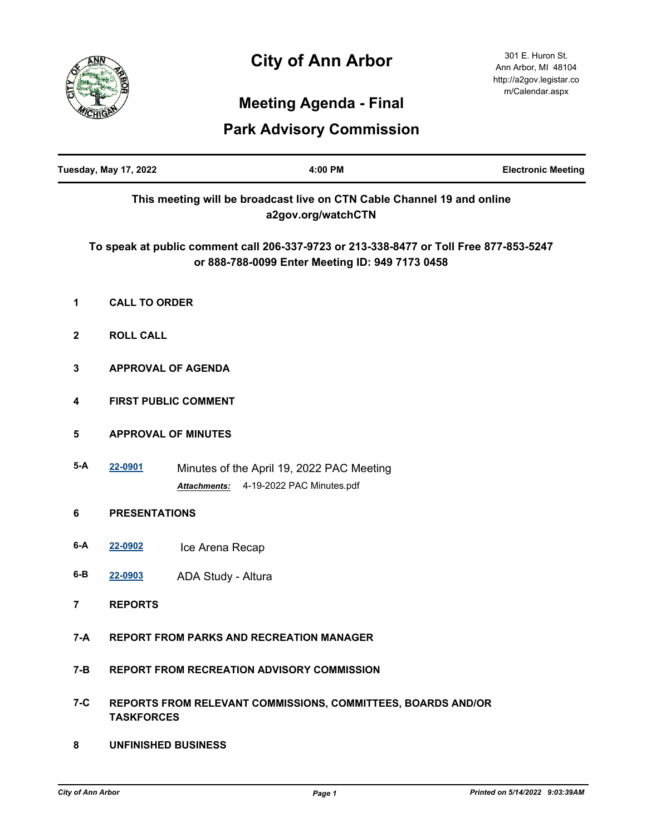## **City of Ann Arbor**



j.

301 E. Huron St. Ann Arbor, MI 48104 http://a2gov.legistar.co m/Calendar.aspx

## **Meeting Agenda - Final**

## **Park Advisory Commission**

| <b>Tuesday, May 17, 2022</b> |                                                                                   | 4:00 PM                                                                                                                                   | <b>Electronic Meeting</b> |  |
|------------------------------|-----------------------------------------------------------------------------------|-------------------------------------------------------------------------------------------------------------------------------------------|---------------------------|--|
|                              |                                                                                   | This meeting will be broadcast live on CTN Cable Channel 19 and online<br>a2gov.org/watchCTN                                              |                           |  |
|                              |                                                                                   | To speak at public comment call 206-337-9723 or 213-338-8477 or Toll Free 877-853-5247<br>or 888-788-0099 Enter Meeting ID: 949 7173 0458 |                           |  |
| 1                            | <b>CALL TO ORDER</b>                                                              |                                                                                                                                           |                           |  |
| $\boldsymbol{2}$             | <b>ROLL CALL</b>                                                                  |                                                                                                                                           |                           |  |
| $\mathbf{3}$                 | <b>APPROVAL OF AGENDA</b>                                                         |                                                                                                                                           |                           |  |
| 4                            | <b>FIRST PUBLIC COMMENT</b>                                                       |                                                                                                                                           |                           |  |
| 5                            | <b>APPROVAL OF MINUTES</b>                                                        |                                                                                                                                           |                           |  |
| $5-A$                        | 22-0901                                                                           | Minutes of the April 19, 2022 PAC Meeting<br>4-19-2022 PAC Minutes.pdf<br><b>Attachments:</b>                                             |                           |  |
| $\bf 6$                      | <b>PRESENTATIONS</b>                                                              |                                                                                                                                           |                           |  |
| $6-A$                        | 22-0902                                                                           | Ice Arena Recap                                                                                                                           |                           |  |
| $6-B$                        | 22-0903                                                                           | ADA Study - Altura                                                                                                                        |                           |  |
| 7                            | <b>REPORTS</b>                                                                    |                                                                                                                                           |                           |  |
| $7-A$                        |                                                                                   | <b>REPORT FROM PARKS AND RECREATION MANAGER</b>                                                                                           |                           |  |
| $7 - B$                      | <b>REPORT FROM RECREATION ADVISORY COMMISSION</b>                                 |                                                                                                                                           |                           |  |
| $7-C$                        | REPORTS FROM RELEVANT COMMISSIONS, COMMITTEES, BOARDS AND/OR<br><b>TASKFORCES</b> |                                                                                                                                           |                           |  |

**8 UNFINISHED BUSINESS**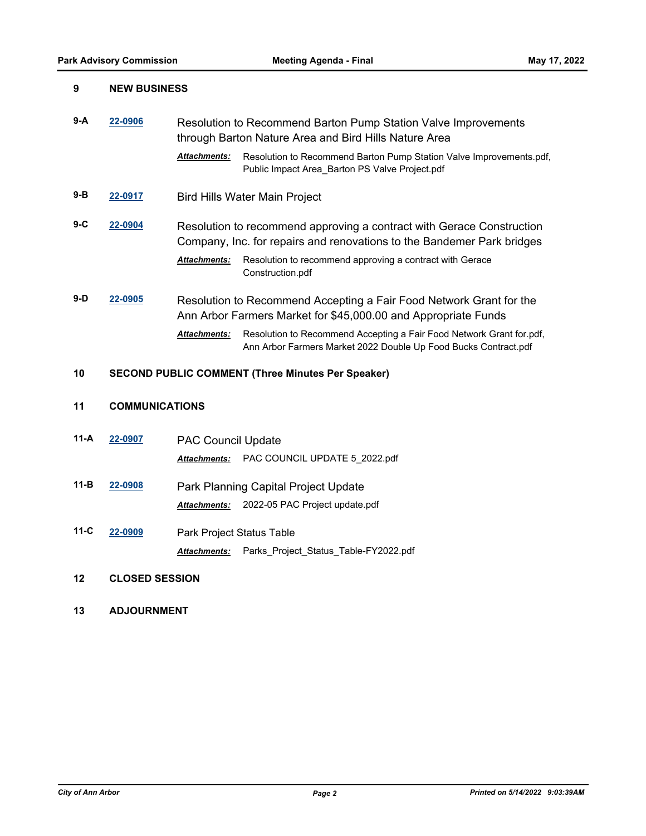| 9     |                       | <b>NEW BUSINESS</b>                                                                                                                                            |  |  |
|-------|-----------------------|----------------------------------------------------------------------------------------------------------------------------------------------------------------|--|--|
| $9-A$ | 22-0906               | Resolution to Recommend Barton Pump Station Valve Improvements<br>through Barton Nature Area and Bird Hills Nature Area                                        |  |  |
|       |                       | <b>Attachments:</b><br>Resolution to Recommend Barton Pump Station Valve Improvements.pdf,<br>Public Impact Area_Barton PS Valve Project.pdf                   |  |  |
| 9-B   | 22-0917               | <b>Bird Hills Water Main Project</b>                                                                                                                           |  |  |
| 9-C   | 22-0904               | Resolution to recommend approving a contract with Gerace Construction<br>Company, Inc. for repairs and renovations to the Bandemer Park bridges                |  |  |
|       |                       | Resolution to recommend approving a contract with Gerace<br>Attachments:<br>Construction.pdf                                                                   |  |  |
| $9-D$ | 22-0905               | Resolution to Recommend Accepting a Fair Food Network Grant for the<br>Ann Arbor Farmers Market for \$45,000.00 and Appropriate Funds                          |  |  |
|       |                       | <b>Attachments:</b><br>Resolution to Recommend Accepting a Fair Food Network Grant for.pdf,<br>Ann Arbor Farmers Market 2022 Double Up Food Bucks Contract.pdf |  |  |
| 10    |                       | <b>SECOND PUBLIC COMMENT (Three Minutes Per Speaker)</b>                                                                                                       |  |  |
| 11    |                       | <b>COMMUNICATIONS</b>                                                                                                                                          |  |  |
| 11-A  | 22-0907               | <b>PAC Council Update</b>                                                                                                                                      |  |  |
|       |                       | PAC COUNCIL UPDATE 5_2022.pdf<br>Attachments:                                                                                                                  |  |  |
| 11-B  | 22-0908               | Park Planning Capital Project Update                                                                                                                           |  |  |
|       |                       | 2022-05 PAC Project update.pdf<br>Attachments:                                                                                                                 |  |  |
| 11-C  | 22-0909               | Park Project Status Table                                                                                                                                      |  |  |
|       |                       | Parks_Project_Status_Table-FY2022.pdf<br><b>Attachments:</b>                                                                                                   |  |  |
| 12    | <b>CLOSED SESSION</b> |                                                                                                                                                                |  |  |

**13 ADJOURNMENT**